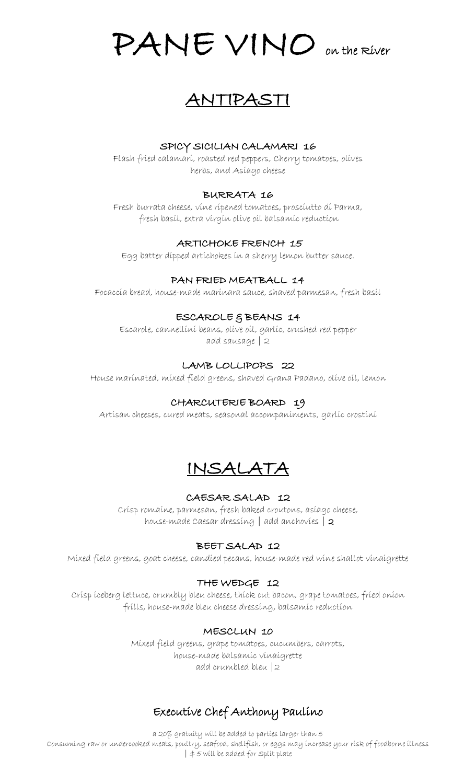PANE VINO on the River

# ANTIPASTI

#### SPICY SICILIAN CALAMARI 16

Flash fried calamari, roasted red peppers, Cherry tomatoes, olives herbs, and Asiago cheese

#### BURRATA 16

Fresh burrata cheese, vine ripened tomatoes, prosciutto di Parma, fresh basil, extra virgin olive oil balsamic reduction

#### ARTICHOKE FRENCH 15

Egg batter dipped artichokes in a sherry lemon butter sauce.

#### PAN FRIED MEATBALL 14

Focaccia bread, house-made marinara sauce, shaved parmesan, fresh basil

#### ESCAROLE & BEANS 14

Escarole, cannellini beans, olive oil, garlic, crushed red pepper add sausage | 2

# LAMB LOLLIPOPS 22

House marinated, mixed field greens, shaved Grana Padano, olive oil, lemon

#### CHARCUTERIE BOARD 19

Artisan cheeses, cured meats, seasonal accompaniments, garlic crostini



#### CAESAR SALAD 12

Crisp romaine, parmesan, fresh baked croutons, asiago cheese, house-made Caesar dressing  $|$  add anchovies  $|$  2

#### BEET SALAD 12

Mixed field greens, goat cheese, candied pecans, house-made red wine shallot vinaigrette

#### THE WEDGE 12

Crisp iceberg lettuce, crumbly bleu cheese, thick cut bacon, grape tomatoes, fried onion frills, house-made bleu cheese dressing, balsamic reduction

#### MESCLUN 10

Mixed field greens, grape tomatoes, cucumbers, carrots, house-made balsamic vinaigrette add crumbled bleu |2

# Executive Chef Anthony Paulino

a 20% gratuity will be added to parties larger than 5 Consuming raw or undercooked meats, poultry, seafood, shellfish, or eggs may increase your risk of foodborne illness  $|$   $\#$   $5$  will be added for Split plate